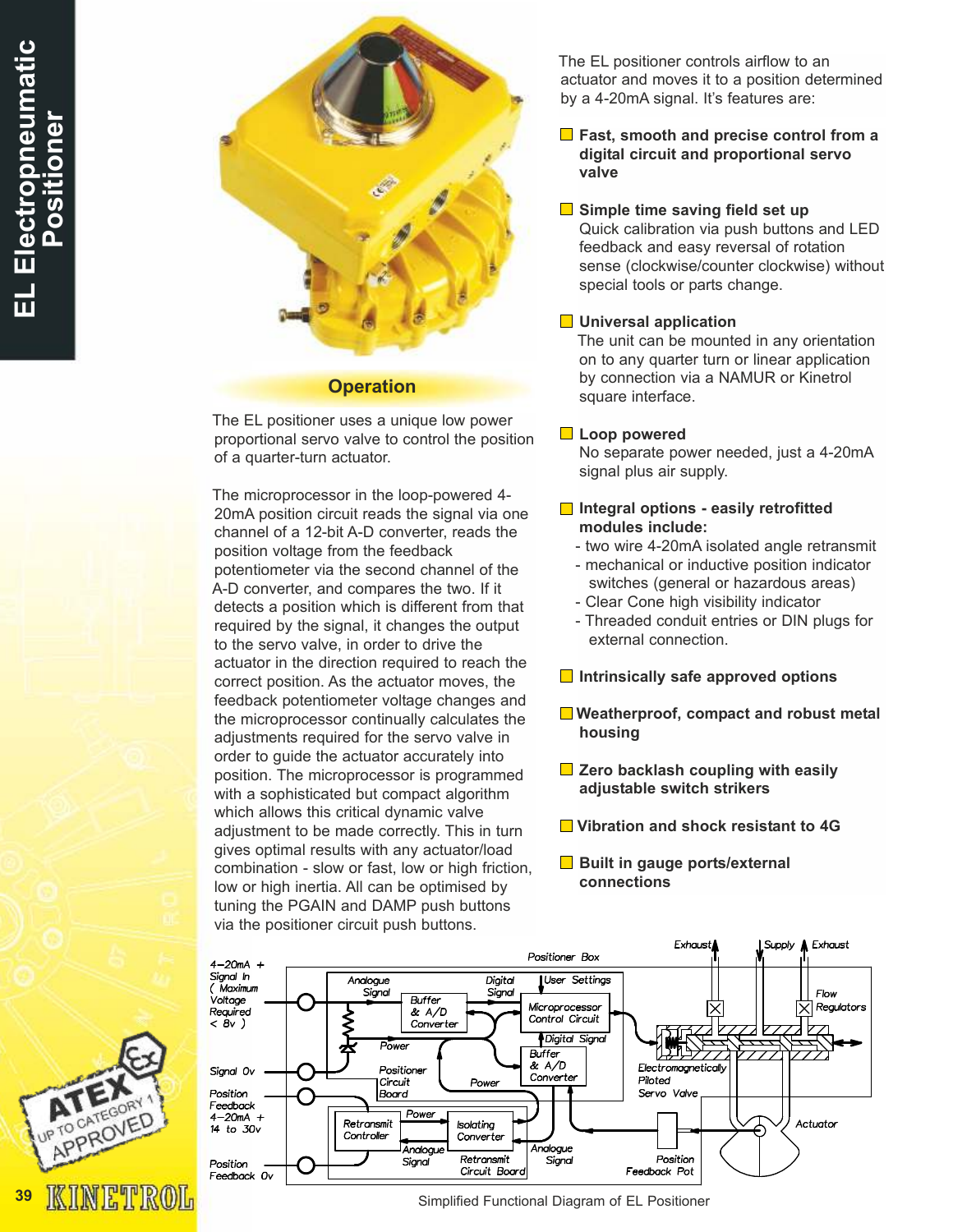39



#### **Operation**

The EL positioner uses a unique low power proportional servo valve to control the position of a quarter-turn actuator.

The microprocessor in the loop-powered 4- 20mA position circuit reads the signal via one channel of a 12-bit A-D converter, reads the position voltage from the feedback potentiometer via the second channel of the A-D converter, and compares the two. If it detects a position which is different from that required by the signal, it changes the output to the servo valve, in order to drive the actuator in the direction required to reach the correct position. As the actuator moves, the feedback potentiometer voltage changes and the microprocessor continually calculates the adjustments required for the servo valve in order to guide the actuator accurately into position. The microprocessor is programmed with a sophisticated but compact algorithm which allows this critical dynamic valve adjustment to be made correctly. This in turn gives optimal results with any actuator/load combination - slow or fast, low or high friction, low or high inertia. All can be optimised by tuning the PGAIN and DAMP push buttons via the positioner circuit push buttons.

The EL positioner controls airflow to an actuator and moves it to a position determined by a 4-20mA signal. It's features are:

 $\blacksquare$  Fast, smooth and precise control from a digital circuit and proportional servo valve

#### $\Box$  Simple time saving field set up

Quick calibration via push buttons and LED feedback and easy reversal of rotation sense (clockwise/counter clockwise) without special tools or parts change.

#### **■** Universal application

The unit can be mounted in any orientation on to any quarter turn or linear application by connection via a NAMUR or Kinetrol square interface.

#### **Loop powered**

No separate power needed, just a 4-20mA signal plus air supply.

#### $\blacksquare$  Integral options - easily retrofitted modules include:

- two wire 4-20mA isolated angle retransmit
- mechanical or inductive position indicator switches (general or hazardous areas)
- Clear Cone high visibility indicator
- Threaded conduit entries or DIN plugs for external connection.
- $\Box$  Intrinsically safe approved options
- **Weatherproof, compact and robust metal** housing
- $\blacksquare$  Zero backlash coupling with easily adjustable switch strikers
- **■** Vibration and shock resistant to 4G
- Built in gauge ports/external connections



Simplified Functional Diagram of EL Positioner